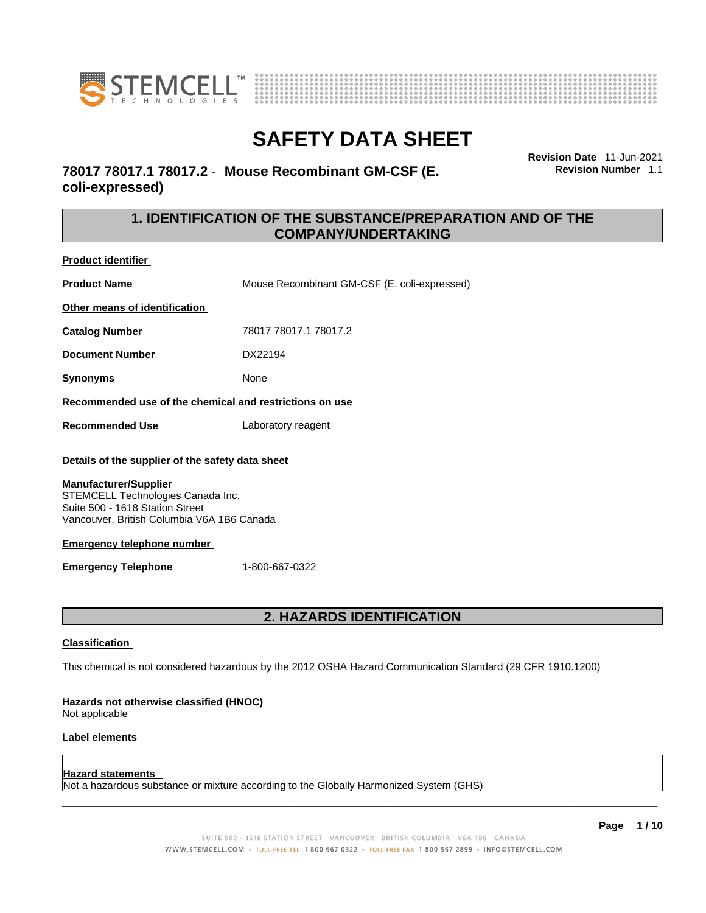



**Revision Date** 11-Jun-2021 **Revision Number** 1.1

# **78017 78017.1 78017.2** - **Mouse Recombinant GM-CSF (E. coli-expressed)**

# **1. IDENTIFICATION OF THE SUBSTANCE/PREPARATION AND OF THE COMPANY/UNDERTAKING**

**Product identifier**

**Product Name** Mouse Recombinant GM-CSF (E. coli-expressed)

**Other means of identification**

**Catalog Number** 78017 78017.1 78017.2

**Document Number** DX22194

**Synonyms** None

**Recommended use of the chemical and restrictions on use**

**Recommended Use** Laboratory reagent

### **Details of the supplier of the safety data sheet**

### **Manufacturer/Supplier**

STEMCELL Technologies Canada Inc. Suite 500 - 1618 Station Street Vancouver, British Columbia V6A 1B6 Canada

### **Emergency telephone number**

**Emergency Telephone** 1-800-667-0322

# **2. HAZARDS IDENTIFICATION**

### **Classification**

This chemical is not considered hazardous by the 2012 OSHA Hazard Communication Standard (29 CFR 1910.1200)

### **Hazards not otherwise classified (HNOC)**

Not applicable

### **Label elements**

### **Hazard statements**

Not a hazardous substance or mixture according to the Globally Harmonized System (GHS)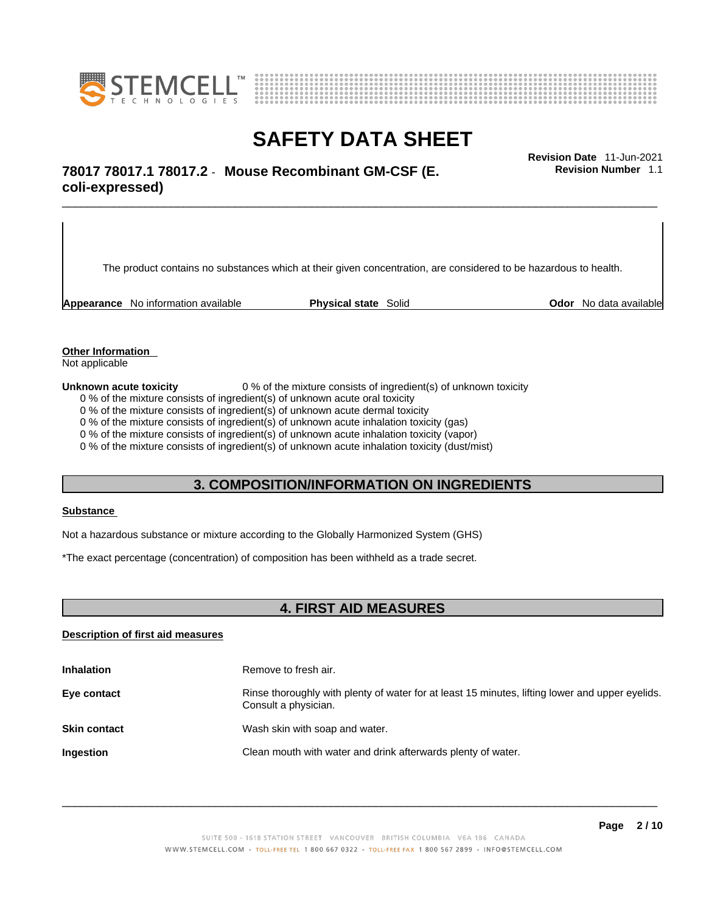



# \_\_\_\_\_\_\_\_\_\_\_\_\_\_\_\_\_\_\_\_\_\_\_\_\_\_\_\_\_\_\_\_\_\_\_\_\_\_\_\_\_\_\_\_\_\_\_\_\_\_\_\_\_\_\_\_\_\_\_\_\_\_\_\_\_\_\_\_\_\_\_\_\_\_\_\_\_\_\_\_\_\_\_\_\_\_\_\_\_\_\_\_\_ **Revision Date** 11-Jun-2021 **78017 78017.1 78017.2** - **Mouse Recombinant GM-CSF (E. coli-expressed)**

The product contains no substances which at their given concentration, are considered to be hazardous to health.

**Appearance** No information available **Physical state** Solid **Odor No data available** 

**Revision Number** 1.1

**Other Information** 

Not applicable

**Unknown acute toxicity** 0 % of the mixture consists of ingredient(s) of unknown toxicity

0 % of the mixture consists of ingredient(s) of unknown acute oral toxicity

0 % of the mixture consists of ingredient(s) of unknown acute dermal toxicity

0 % of the mixture consists of ingredient(s) of unknown acute inhalation toxicity (gas)

0 % of the mixture consists of ingredient(s) of unknown acute inhalation toxicity (vapor)

0 % of the mixture consists of ingredient(s) of unknown acute inhalation toxicity (dust/mist)

## **3. COMPOSITION/INFORMATION ON INGREDIENTS**

#### **Substance**

Not a hazardous substance or mixture according to the Globally Harmonized System (GHS)

\*The exact percentage (concentration) of composition has been withheld as a trade secret.

## **4. FIRST AID MEASURES**

## **Description of first aid measures**

| <b>Inhalation</b>   | Remove to fresh air.                                                                                                    |
|---------------------|-------------------------------------------------------------------------------------------------------------------------|
| Eye contact         | Rinse thoroughly with plenty of water for at least 15 minutes, lifting lower and upper eyelids.<br>Consult a physician. |
| <b>Skin contact</b> | Wash skin with soap and water.                                                                                          |
| Ingestion           | Clean mouth with water and drink afterwards plenty of water.                                                            |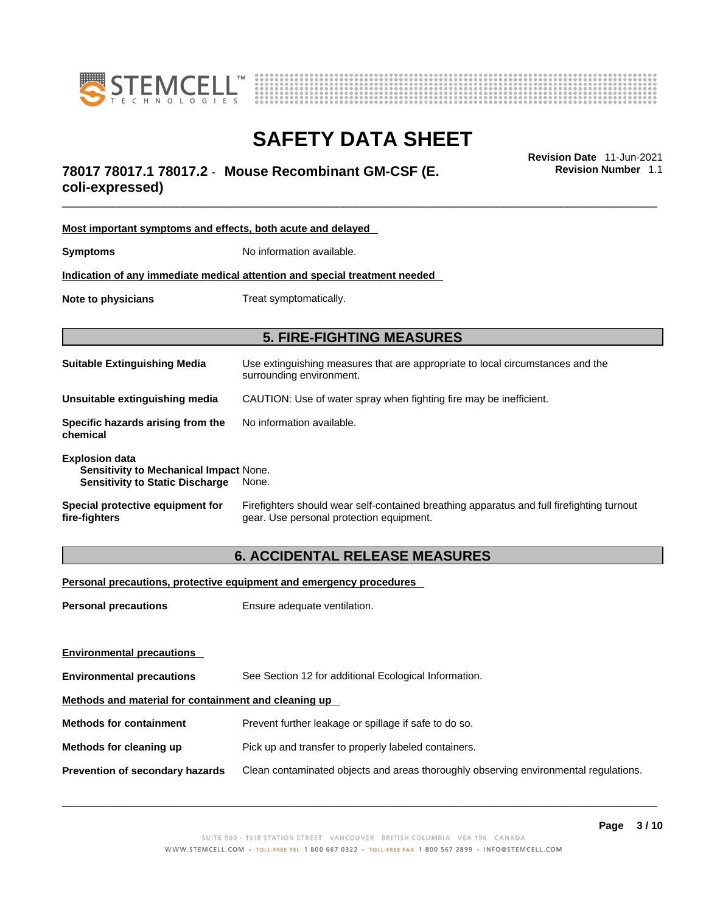



# \_\_\_\_\_\_\_\_\_\_\_\_\_\_\_\_\_\_\_\_\_\_\_\_\_\_\_\_\_\_\_\_\_\_\_\_\_\_\_\_\_\_\_\_\_\_\_\_\_\_\_\_\_\_\_\_\_\_\_\_\_\_\_\_\_\_\_\_\_\_\_\_\_\_\_\_\_\_\_\_\_\_\_\_\_\_\_\_\_\_\_\_\_ **Revision Date** 11-Jun-2021 **78017 78017.1 78017.2** - **Mouse Recombinant GM-CSF (E.**

**coli-expressed)** 

| Most important symptoms and effects, both acute and delayed                                                      |                                                                                                                                       |  |
|------------------------------------------------------------------------------------------------------------------|---------------------------------------------------------------------------------------------------------------------------------------|--|
| <b>Symptoms</b>                                                                                                  | No information available.                                                                                                             |  |
| <u>Indication of any immediate medical attention and special treatment needed</u>                                |                                                                                                                                       |  |
| Note to physicians                                                                                               | Treat symptomatically.                                                                                                                |  |
| <b>5. FIRE-FIGHTING MEASURES</b>                                                                                 |                                                                                                                                       |  |
| <b>Suitable Extinguishing Media</b>                                                                              | Use extinguishing measures that are appropriate to local circumstances and the<br>surrounding environment.                            |  |
| Unsuitable extinguishing media                                                                                   | CAUTION: Use of water spray when fighting fire may be inefficient.                                                                    |  |
| Specific hazards arising from the<br>chemical                                                                    | No information available.                                                                                                             |  |
| <b>Explosion data</b><br><b>Sensitivity to Mechanical Impact None.</b><br><b>Sensitivity to Static Discharge</b> | None.                                                                                                                                 |  |
| Special protective equipment for<br>fire-fighters                                                                | Firefighters should wear self-contained breathing apparatus and full firefighting turnout<br>gear. Use personal protection equipment. |  |

# **6. ACCIDENTAL RELEASE MEASURES**

**Personal precautions, protective equipment and emergency procedures**

| <b>Personal precautions</b>                          | Ensure adequate ventilation.                                                         |  |
|------------------------------------------------------|--------------------------------------------------------------------------------------|--|
|                                                      |                                                                                      |  |
| <b>Environmental precautions</b>                     |                                                                                      |  |
| <b>Environmental precautions</b>                     | See Section 12 for additional Ecological Information.                                |  |
| Methods and material for containment and cleaning up |                                                                                      |  |
| <b>Methods for containment</b>                       | Prevent further leakage or spillage if safe to do so.                                |  |
| Methods for cleaning up                              | Pick up and transfer to properly labeled containers.                                 |  |
| <b>Prevention of secondary hazards</b>               | Clean contaminated objects and areas thoroughly observing environmental regulations. |  |
|                                                      |                                                                                      |  |

 $\_$  ,  $\_$  ,  $\_$  ,  $\_$  ,  $\_$  ,  $\_$  ,  $\_$  ,  $\_$  ,  $\_$  ,  $\_$  ,  $\_$  ,  $\_$  ,  $\_$  ,  $\_$  ,  $\_$  ,  $\_$  ,  $\_$  ,  $\_$  ,  $\_$  ,  $\_$  ,  $\_$  ,  $\_$  ,  $\_$  ,  $\_$  ,  $\_$  ,  $\_$  ,  $\_$  ,  $\_$  ,  $\_$  ,  $\_$  ,  $\_$  ,  $\_$  ,  $\_$  ,  $\_$  ,  $\_$  ,  $\_$  ,  $\_$  ,

**Revision Number** 1.1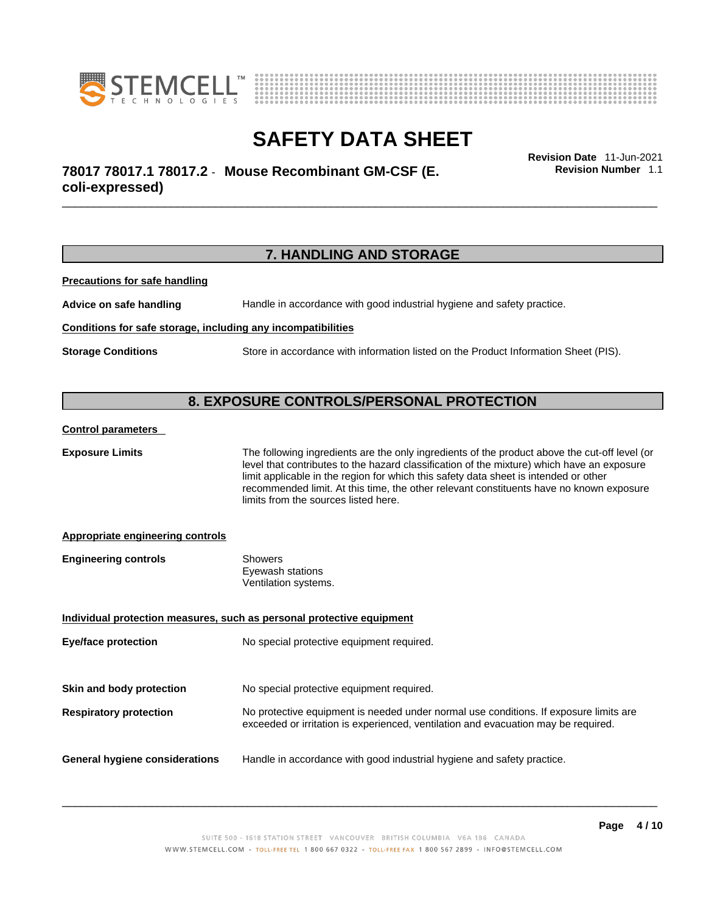



# \_\_\_\_\_\_\_\_\_\_\_\_\_\_\_\_\_\_\_\_\_\_\_\_\_\_\_\_\_\_\_\_\_\_\_\_\_\_\_\_\_\_\_\_\_\_\_\_\_\_\_\_\_\_\_\_\_\_\_\_\_\_\_\_\_\_\_\_\_\_\_\_\_\_\_\_\_\_\_\_\_\_\_\_\_\_\_\_\_\_\_\_\_ **Revision Date** 11-Jun-2021 **78017 78017.1 78017.2** - **Mouse Recombinant GM-CSF (E. coli-expressed)**

**Revision Number** 1.1

# **7. HANDLING AND STORAGE**

**Precautions for safe handling**

**Advice on safe handling** Handle in accordance with good industrial hygiene and safety practice.

#### **Conditions for safe storage, including any incompatibilities**

**Storage Conditions** Store in accordance with information listed on the Product Information Sheet (PIS).

# **8. EXPOSURE CONTROLS/PERSONAL PROTECTION**

#### **Control parameters**

**Exposure Limits** The following ingredients are the only ingredients of the product above the cut-off level (or level that contributes to the hazard classification of the mixture) which have an exposure limit applicable in the region for which this safety data sheet is intended or other recommended limit. At this time, the other relevant constituents have no known exposure limits from the sources listed here.

### **Appropriate engineering controls**

| <b>Engineering controls</b> | Showers              |  |
|-----------------------------|----------------------|--|
|                             | Eyewash stations     |  |
|                             | Ventilation systems. |  |

| Individual protection measures, such as personal protective equipment |                                                                                                                                                                             |  |
|-----------------------------------------------------------------------|-----------------------------------------------------------------------------------------------------------------------------------------------------------------------------|--|
| <b>Eye/face protection</b>                                            | No special protective equipment required.                                                                                                                                   |  |
|                                                                       |                                                                                                                                                                             |  |
| Skin and body protection                                              | No special protective equipment required.                                                                                                                                   |  |
| <b>Respiratory protection</b>                                         | No protective equipment is needed under normal use conditions. If exposure limits are<br>exceeded or irritation is experienced, ventilation and evacuation may be required. |  |
| <b>General hygiene considerations</b>                                 | Handle in accordance with good industrial hygiene and safety practice.                                                                                                      |  |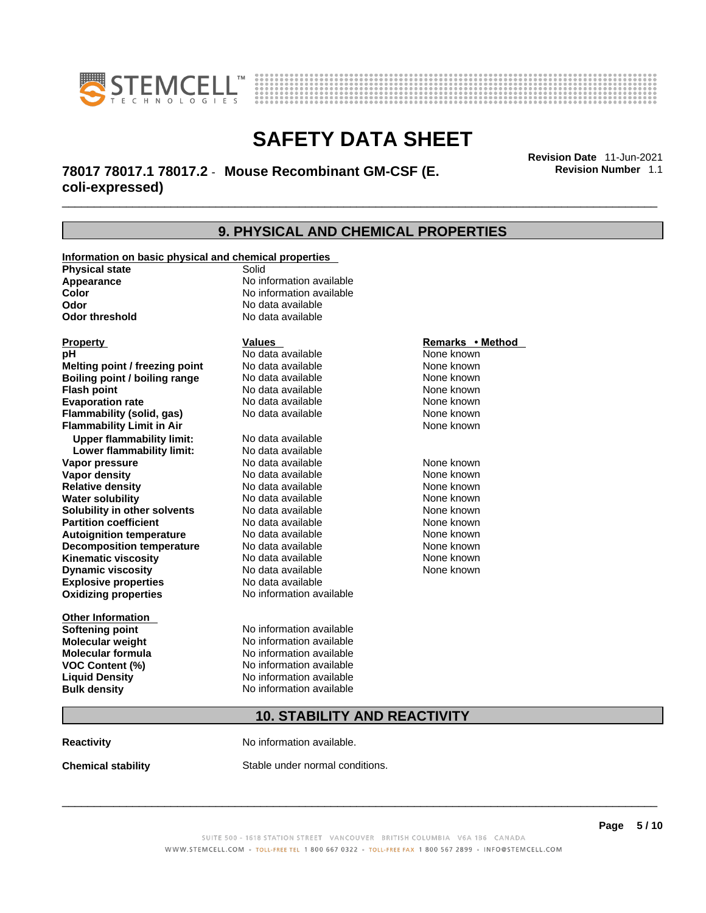



# \_\_\_\_\_\_\_\_\_\_\_\_\_\_\_\_\_\_\_\_\_\_\_\_\_\_\_\_\_\_\_\_\_\_\_\_\_\_\_\_\_\_\_\_\_\_\_\_\_\_\_\_\_\_\_\_\_\_\_\_\_\_\_\_\_\_\_\_\_\_\_\_\_\_\_\_\_\_\_\_\_\_\_\_\_\_\_\_\_\_\_\_\_ **Revision Date** 11-Jun-2021 **78017 78017.1 78017.2** - **Mouse Recombinant GM-CSF (E. coli-expressed)**

**9. PHYSICAL AND CHEMICAL PROPERTIES Information on basic physical and chemical properties Physical state** Solid **Appearance No information available**<br> **Color Color Color Color Color Color Color Color Color Color Color Color No** data available **Odor Constanting Codor Constanting Codor threshold Codor Constanting Codor No data available No data available Explosive properties** No data available **Oxidizing properties** No information available **Other Information Softening point** No information available **Molecular weight** No information available **Molecular formula** No information available **VOC Content (%)** No information available **Liquid Density** No information available **Bulk density No information available Property Construction Construction Construction Construction Property <b>Remarks** • **Method pH**<br> **Remarks** • **Method Property Remarks** • **Remarks** • **Method Property Remarks** • **Method Property Property Pr pH** No data available None known **Melting point / freezing point Boiling point / boiling range** No data available None known **Flash point Communist Communist Communist Communist Communist Communist Communist Communist Communist Communist Communist Communist Communist Communist Communist Communist Communist Communist Communist Communist Communi Evaporation rate** *rate* No data available **None known Flammability (solid, gas)** No data available None known **Flammability Limit in Air** None known **Upper flammability limit:** No data available **Lower flammability limit:** No data available **Vapor pressure** No data available None known **Vapor density Notata available None known Relative density No data available None known Water solubility No data available None known**<br> **Solubility in other solvents** No data available **None known** None known **Solubility in other solvents** No data available **None known**<br> **Partition coefficient** No data available None known **Partition coefficient**<br> **Autoignition temperature**<br>
No data available **Autoignition temperature No data available None known**<br> **Decomposition temperature** No data available **None known**<br>
None known **Decomposition temperature** No data available None known<br> **Kinematic viscosity** No data available None known **Kinematic viscosity No data available None known**<br> **None known**<br>
No data available **None known**<br>
None known **Dynamic viscosity** 

# **10. STABILITY AND REACTIVITY**

**Reactivity No information available.** 

**Chemical stability** Stable under normal conditions.

 $\_$  ,  $\_$  ,  $\_$  ,  $\_$  ,  $\_$  ,  $\_$  ,  $\_$  ,  $\_$  ,  $\_$  ,  $\_$  ,  $\_$  ,  $\_$  ,  $\_$  ,  $\_$  ,  $\_$  ,  $\_$  ,  $\_$  ,  $\_$  ,  $\_$  ,  $\_$  ,  $\_$  ,  $\_$  ,  $\_$  ,  $\_$  ,  $\_$  ,  $\_$  ,  $\_$  ,  $\_$  ,  $\_$  ,  $\_$  ,  $\_$  ,  $\_$  ,  $\_$  ,  $\_$  ,  $\_$  ,  $\_$  ,  $\_$  ,

**Revision Number** 1.1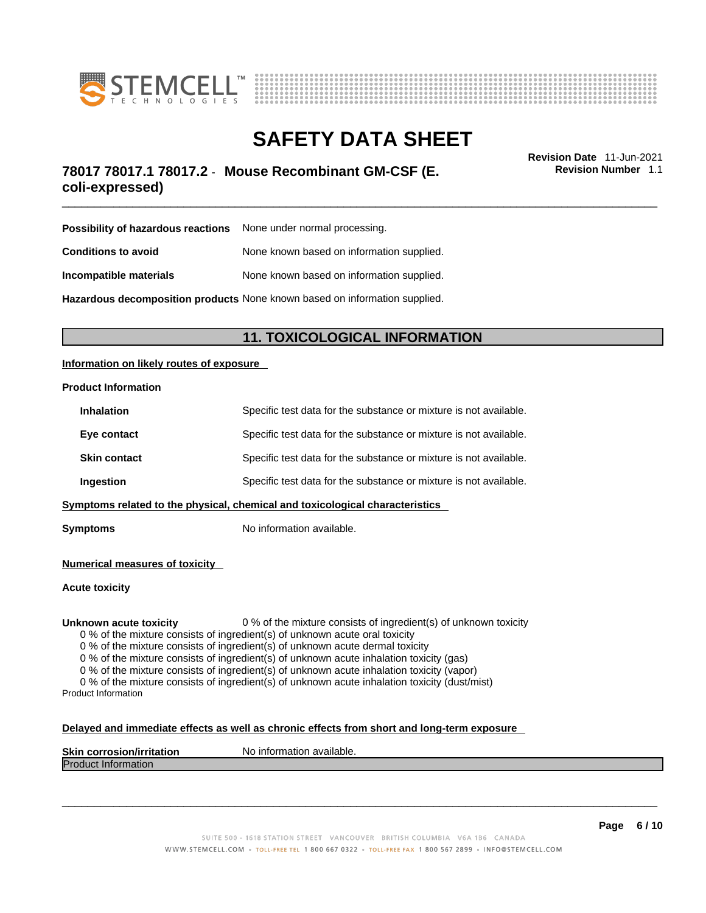



# \_\_\_\_\_\_\_\_\_\_\_\_\_\_\_\_\_\_\_\_\_\_\_\_\_\_\_\_\_\_\_\_\_\_\_\_\_\_\_\_\_\_\_\_\_\_\_\_\_\_\_\_\_\_\_\_\_\_\_\_\_\_\_\_\_\_\_\_\_\_\_\_\_\_\_\_\_\_\_\_\_\_\_\_\_\_\_\_\_\_\_\_\_ **Revision Date** 11-Jun-2021 **78017 78017.1 78017.2** - **Mouse Recombinant GM-CSF (E. coli-expressed)**

**Revision Number** 1.1

| <b>Possibility of hazardous reactions</b> None under normal processing.    |                                           |  |
|----------------------------------------------------------------------------|-------------------------------------------|--|
| <b>Conditions to avoid</b>                                                 | None known based on information supplied. |  |
| Incompatible materials                                                     | None known based on information supplied. |  |
| Hazardous decomposition products None known based on information supplied. |                                           |  |

# **11. TOXICOLOGICAL INFORMATION**

### **Information on likely routes of exposure**

#### **Product Information**

| <b>Inhalation</b>                                                            | Specific test data for the substance or mixture is not available. |  |
|------------------------------------------------------------------------------|-------------------------------------------------------------------|--|
| Eye contact                                                                  | Specific test data for the substance or mixture is not available. |  |
| <b>Skin contact</b>                                                          | Specific test data for the substance or mixture is not available. |  |
| Ingestion                                                                    | Specific test data for the substance or mixture is not available. |  |
| Symptoms related to the physical, chemical and toxicological characteristics |                                                                   |  |

**Symptoms** No information available.

## **Numerical measures of toxicity**

### **Acute toxicity**

#### **Unknown acute toxicity** 0 % of the mixture consists of ingredient(s) of unknown toxicity

0 % of the mixture consists of ingredient(s) of unknown acute oral toxicity

0 % of the mixture consists of ingredient(s) of unknown acute dermal toxicity

0 % of the mixture consists of ingredient(s) of unknown acute inhalation toxicity (gas)

0 % of the mixture consists of ingredient(s) of unknown acute inhalation toxicity (vapor)

0 % of the mixture consists of ingredient(s) of unknown acute inhalation toxicity (dust/mist) Product Information

### **Delayed and immediate effects as well as chronic effects from short and long-term exposure**

| <b>Skin corrosion/irritation</b> | No information available. |
|----------------------------------|---------------------------|
| <b>Product Information</b>       |                           |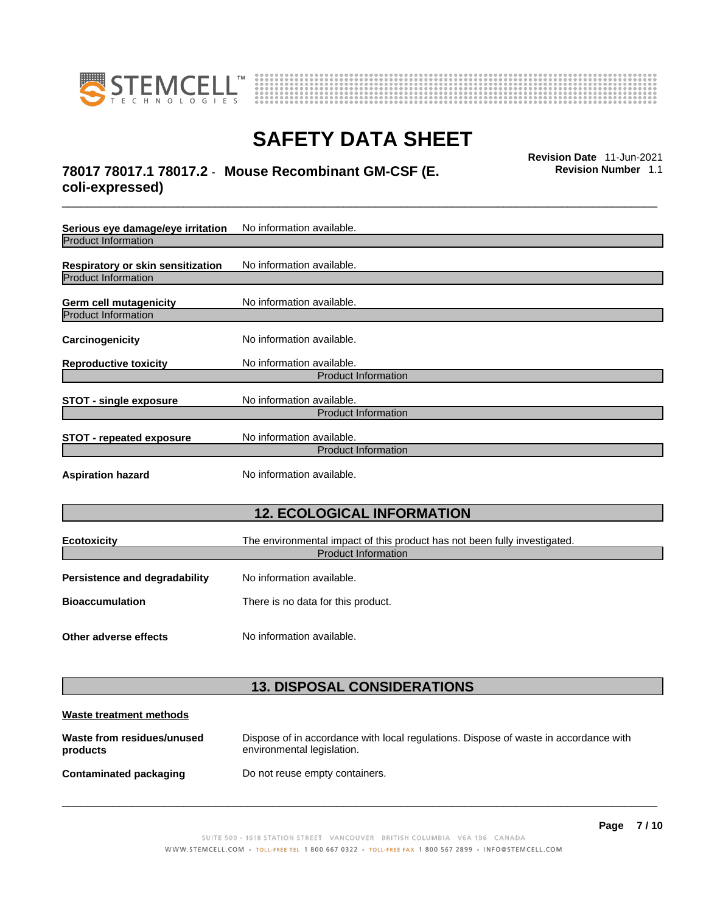



# \_\_\_\_\_\_\_\_\_\_\_\_\_\_\_\_\_\_\_\_\_\_\_\_\_\_\_\_\_\_\_\_\_\_\_\_\_\_\_\_\_\_\_\_\_\_\_\_\_\_\_\_\_\_\_\_\_\_\_\_\_\_\_\_\_\_\_\_\_\_\_\_\_\_\_\_\_\_\_\_\_\_\_\_\_\_\_\_\_\_\_\_\_ **Revision Date** 11-Jun-2021 **78017 78017.1 78017.2** - **Mouse Recombinant GM-CSF (E. coli-expressed)**

**Revision Number** 1.1

| Serious eye damage/eye irritation                               | No information available.                                                 |  |
|-----------------------------------------------------------------|---------------------------------------------------------------------------|--|
| <b>Product Information</b>                                      |                                                                           |  |
| Respiratory or skin sensitization<br><b>Product Information</b> | No information available.                                                 |  |
|                                                                 |                                                                           |  |
| <b>Germ cell mutagenicity</b>                                   | No information available.                                                 |  |
| <b>Product Information</b>                                      |                                                                           |  |
| Carcinogenicity                                                 | No information available.                                                 |  |
| <b>Reproductive toxicity</b>                                    | No information available.                                                 |  |
|                                                                 | <b>Product Information</b>                                                |  |
| <b>STOT - single exposure</b>                                   | No information available.                                                 |  |
|                                                                 | <b>Product Information</b>                                                |  |
| <b>STOT - repeated exposure</b>                                 | No information available.                                                 |  |
|                                                                 | <b>Product Information</b>                                                |  |
| <b>Aspiration hazard</b>                                        | No information available.                                                 |  |
| <b>12. ECOLOGICAL INFORMATION</b>                               |                                                                           |  |
| <b>Ecotoxicity</b>                                              | The environmental impact of this product has not been fully investigated. |  |
|                                                                 | <b>Product Information</b>                                                |  |
| <b>Persistence and degradability</b>                            | No information available.                                                 |  |
| <b>Bioaccumulation</b>                                          | There is no data for this product.                                        |  |
| Other adverse effects                                           | No information available.                                                 |  |
|                                                                 | <b>13. DISPOSAL CONSIDERATIONS</b>                                        |  |
| Waste treatment methods                                         |                                                                           |  |

**Contaminated packaging** Do not reuse empty containers.

environmental legislation.

**Waste from residues/unused**

**products** 

 $\_$  ,  $\_$  ,  $\_$  ,  $\_$  ,  $\_$  ,  $\_$  ,  $\_$  ,  $\_$  ,  $\_$  ,  $\_$  ,  $\_$  ,  $\_$  ,  $\_$  ,  $\_$  ,  $\_$  ,  $\_$  ,  $\_$  ,  $\_$  ,  $\_$  ,  $\_$  ,  $\_$  ,  $\_$  ,  $\_$  ,  $\_$  ,  $\_$  ,  $\_$  ,  $\_$  ,  $\_$  ,  $\_$  ,  $\_$  ,  $\_$  ,  $\_$  ,  $\_$  ,  $\_$  ,  $\_$  ,  $\_$  ,  $\_$  ,

Dispose of in accordance with local regulations. Dispose of waste in accordance with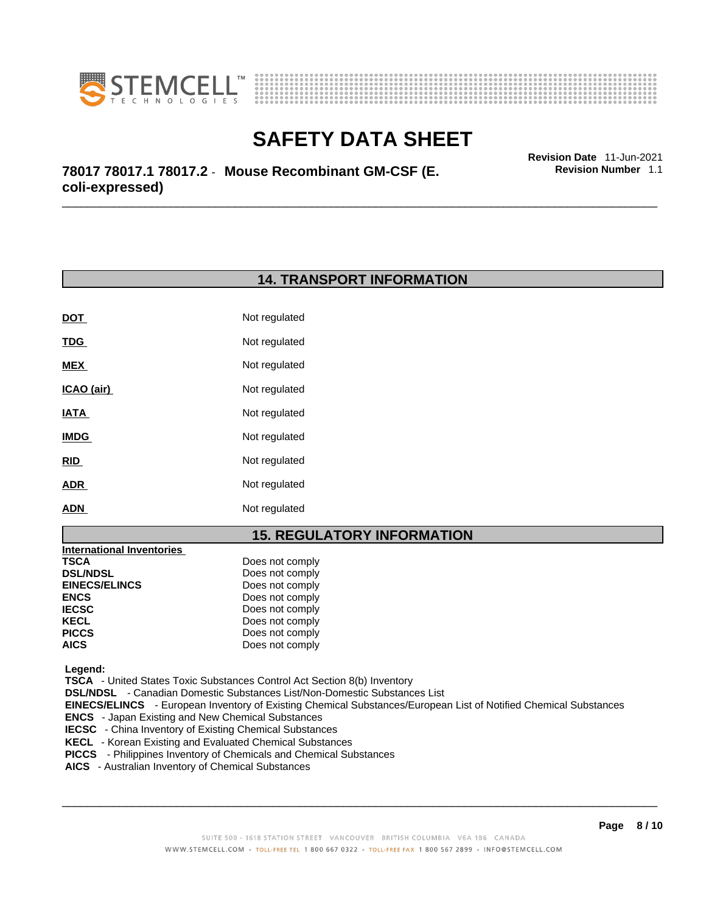



\_\_\_\_\_\_\_\_\_\_\_\_\_\_\_\_\_\_\_\_\_\_\_\_\_\_\_\_\_\_\_\_\_\_\_\_\_\_\_\_\_\_\_\_\_\_\_\_\_\_\_\_\_\_\_\_\_\_\_\_\_\_\_\_\_\_\_\_\_\_\_\_\_\_\_\_\_\_\_\_\_\_\_\_\_\_\_\_\_\_\_\_\_ **Revision Date** 11-Jun-2021 **78017 78017.1 78017.2** - **Mouse Recombinant GM-CSF (E. coli-expressed)** 

## **14. TRANSPORT INFORMATION**

| DOT         | Not regulated |
|-------------|---------------|
| <u>TDG</u>  | Not regulated |
| <b>MEX</b>  | Not regulated |
| ICAO (air)  | Not regulated |
| IATA        | Not regulated |
| <b>IMDG</b> | Not regulated |
| <b>RID</b>  | Not regulated |
| <b>ADR</b>  | Not regulated |
| <b>ADN</b>  | Not regulated |

# **15. REGULATORY INFORMATION**

| <b>International Inventories</b> |                 |  |
|----------------------------------|-----------------|--|
| TSCA                             | Does not comply |  |
| <b>DSL/NDSL</b>                  | Does not comply |  |
| <b>EINECS/ELINCS</b>             | Does not comply |  |
| <b>ENCS</b>                      | Does not comply |  |
| <b>IECSC</b>                     | Does not comply |  |
| KECL                             | Does not comply |  |
| <b>PICCS</b>                     | Does not comply |  |
| <b>AICS</b>                      | Does not comply |  |
|                                  |                 |  |

 **Legend:** 

 **TSCA** - United States Toxic Substances Control Act Section 8(b) Inventory

 **DSL/NDSL** - Canadian Domestic Substances List/Non-Domestic Substances List

 **EINECS/ELINCS** - European Inventory of Existing Chemical Substances/European List of Notified Chemical Substances

 **ENCS** - Japan Existing and New Chemical Substances

**IECSC** - China Inventory of Existing Chemical Substances

 **KECL** - Korean Existing and Evaluated Chemical Substances

 **PICCS** - Philippines Inventory of Chemicals and Chemical Substances

 **AICS** - Australian Inventory of Chemical Substances

 $\_$  ,  $\_$  ,  $\_$  ,  $\_$  ,  $\_$  ,  $\_$  ,  $\_$  ,  $\_$  ,  $\_$  ,  $\_$  ,  $\_$  ,  $\_$  ,  $\_$  ,  $\_$  ,  $\_$  ,  $\_$  ,  $\_$  ,  $\_$  ,  $\_$  ,  $\_$  ,  $\_$  ,  $\_$  ,  $\_$  ,  $\_$  ,  $\_$  ,  $\_$  ,  $\_$  ,  $\_$  ,  $\_$  ,  $\_$  ,  $\_$  ,  $\_$  ,  $\_$  ,  $\_$  ,  $\_$  ,  $\_$  ,  $\_$  ,

**Revision Number** 1.1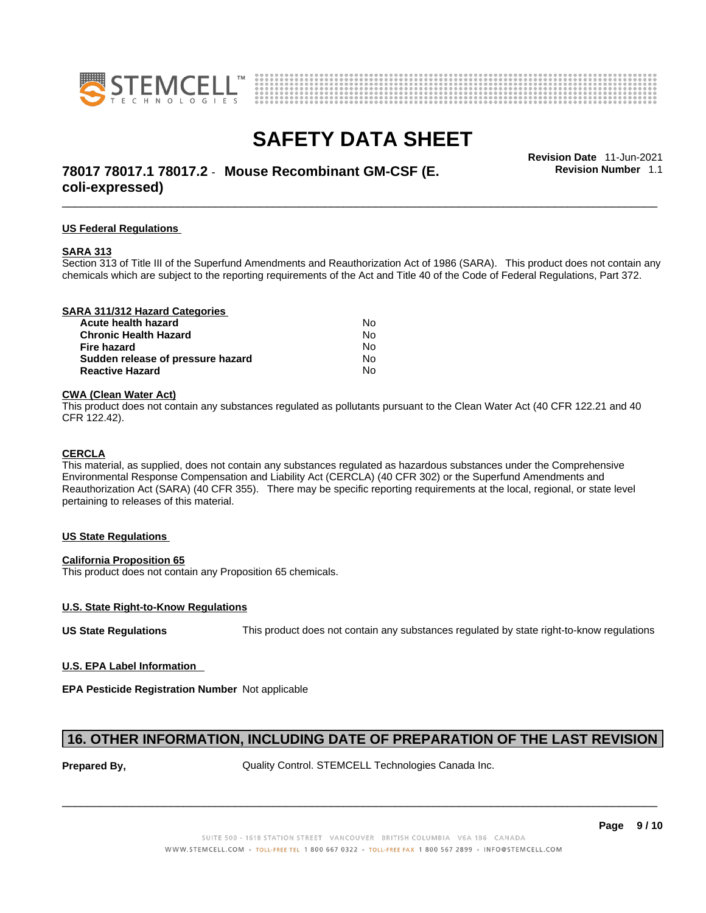



# \_\_\_\_\_\_\_\_\_\_\_\_\_\_\_\_\_\_\_\_\_\_\_\_\_\_\_\_\_\_\_\_\_\_\_\_\_\_\_\_\_\_\_\_\_\_\_\_\_\_\_\_\_\_\_\_\_\_\_\_\_\_\_\_\_\_\_\_\_\_\_\_\_\_\_\_\_\_\_\_\_\_\_\_\_\_\_\_\_\_\_\_\_ **Revision Date** 11-Jun-2021 **78017 78017.1 78017.2** - **Mouse Recombinant GM-CSF (E. coli-expressed)**

**Revision Number** 1.1

#### **US Federal Regulations**

#### **SARA 313**

Section 313 of Title III of the Superfund Amendments and Reauthorization Act of 1986 (SARA). This product does not contain any chemicals which are subject to the reporting requirements of the Act and Title 40 of the Code of Federal Regulations, Part 372.

| SARA 311/312 Hazard Categories    |    |  |
|-----------------------------------|----|--|
| Acute health hazard               | Nο |  |
| <b>Chronic Health Hazard</b>      | Nο |  |
| Fire hazard                       | Nο |  |
| Sudden release of pressure hazard | Nο |  |

**Reactive Hazard**  No

#### **CWA** (Clean Water Act)

This product does not contain any substances regulated as pollutants pursuant to the Clean Water Act (40 CFR 122.21 and 40 CFR 122.42).

#### **CERCLA**

This material, as supplied, does not contain any substances regulated as hazardous substances under the Comprehensive Environmental Response Compensation and Liability Act (CERCLA) (40 CFR 302) or the Superfund Amendments and Reauthorization Act (SARA) (40 CFR 355). There may be specific reporting requirements at the local, regional, or state level pertaining to releases of this material.

### **US State Regulations**

## **California Proposition 65**

This product does not contain any Proposition 65 chemicals.

## **U.S. State Right-to-Know Regulations**

**US State Regulations** This product does not contain any substances regulated by state right-to-know regulations

### **U.S. EPA Label Information**

**EPA Pesticide Registration Number** Not applicable

# **16. OTHER INFORMATION, INCLUDING DATE OF PREPARATION OF THE LAST REVISION**

**Prepared By, The Control Control. STEMCELL Technologies Canada Inc.**